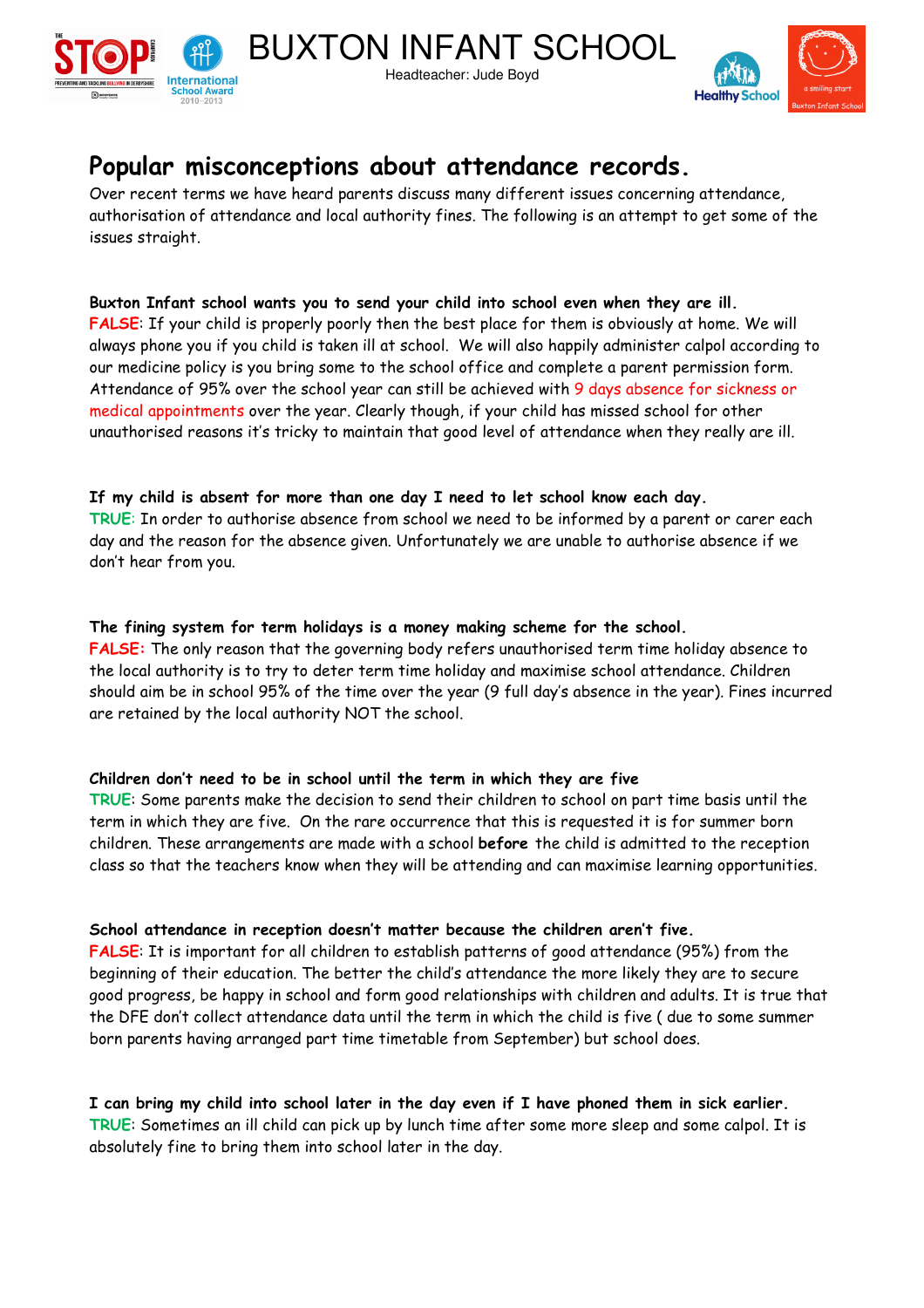



# **Popular misconceptions about attendance records.**

Over recent terms we have heard parents discuss many different issues concerning attendance, authorisation of attendance and local authority fines. The following is an attempt to get some of the issues straight.

Headteacher: Jude Boyd

**Buxton Infant school wants you to send your child into school even when they are ill. FALSE**: If your child is properly poorly then the best place for them is obviously at home. We will always phone you if you child is taken ill at school. We will also happily administer calpol according to our medicine policy is you bring some to the school office and complete a parent permission form. Attendance of 95% over the school year can still be achieved with 9 days absence for sickness or medical appointments over the year. Clearly though, if your child has missed school for other unauthorised reasons it's tricky to maintain that good level of attendance when they really are ill.

## **If my child is absent for more than one day I need to let school know each day.**

**TRUE**: In order to authorise absence from school we need to be informed by a parent or carer each day and the reason for the absence given. Unfortunately we are unable to authorise absence if we don't hear from you.

#### **The fining system for term holidays is a money making scheme for the school.**

**FALSE:** The only reason that the governing body refers unauthorised term time holiday absence to the local authority is to try to deter term time holiday and maximise school attendance. Children should aim be in school 95% of the time over the year (9 full day's absence in the year). Fines incurred are retained by the local authority NOT the school.

## **Children don't need to be in school until the term in which they are five**

**TRUE**: Some parents make the decision to send their children to school on part time basis until the term in which they are five. On the rare occurrence that this is requested it is for summer born children. These arrangements are made with a school **before** the child is admitted to the reception class so that the teachers know when they will be attending and can maximise learning opportunities.

## **School attendance in reception doesn't matter because the children aren't five.**

**FALSE**: It is important for all children to establish patterns of good attendance (95%) from the beginning of their education. The better the child's attendance the more likely they are to secure good progress, be happy in school and form good relationships with children and adults. It is true that the DFE don't collect attendance data until the term in which the child is five ( due to some summer born parents having arranged part time timetable from September) but school does.

**I can bring my child into school later in the day even if I have phoned them in sick earlier. TRUE**: Sometimes an ill child can pick up by lunch time after some more sleep and some calpol. It is absolutely fine to bring them into school later in the day.